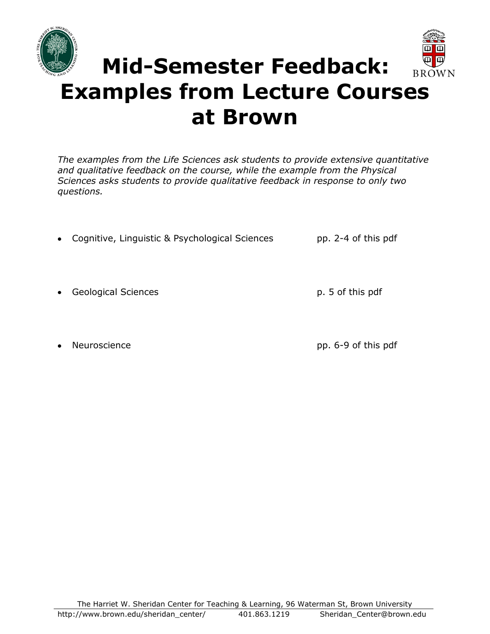



# **Mid-Semester Feedback: Examples from Lecture Courses at Brown**

*The examples from the Life Sciences ask students to provide extensive quantitative and qualitative feedback on the course, while the example from the Physical Sciences asks students to provide qualitative feedback in response to only two questions.* 

- Cognitive, Linguistic & Psychological Sciences pp. 2-4 of this pdf
- Geological Sciences and the set of the p. 5 of this pdf
- 

Neuroscience **pp. 6-9 of this pdf**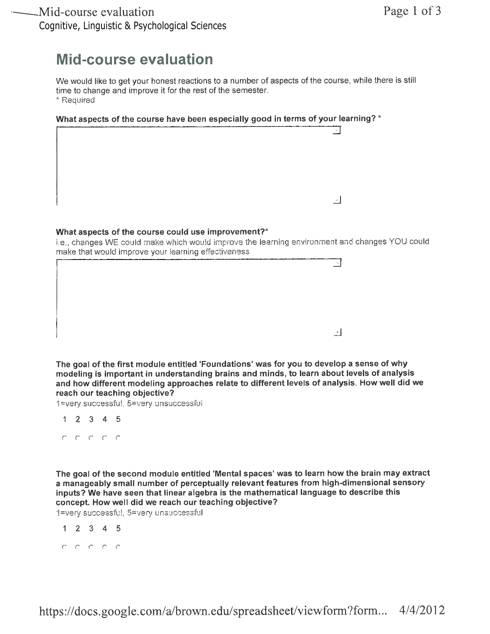### **Mid-course evaluation**

We would like to get your honest reactions to a number of aspects of the course, while there is still time to change and improve it for the rest of the semester. \* Required

What aspects of the course have been especially good in terms of your learning? \*



#### What aspects of the course could use improvement?\*

i.e., changes WE could make which would improve the learning environment and changes YOU could make that would improve your learning effectiveness

|  |  | ۰.                  |
|--|--|---------------------|
|  |  |                     |
|  |  |                     |
|  |  |                     |
|  |  |                     |
|  |  |                     |
|  |  | $\rightarrow$<br>-- |

The goal of the first module entitled 'Foundations' was for you to develop a sense of why modeling is important in understanding brains and minds, to learn about levels of analysis and how different modeling approaches relate to different levels of analysis. How well did we reach our teaching objective?

1=very successful, 5=very unsuccessful

- $1 2 3 4 5$
- C C C C C

The goal of the second module entitled 'Mental spaces' was to learn how the brain may extract a manageably small number of perceptually relevant features from high-dimensional sensory inputs? We have seen that linear algebra is the mathematical language to describe this concept. How well did we reach our teaching objective?

1=very successful, 5=very unsuccessful

- $1 2 3 4 5$
-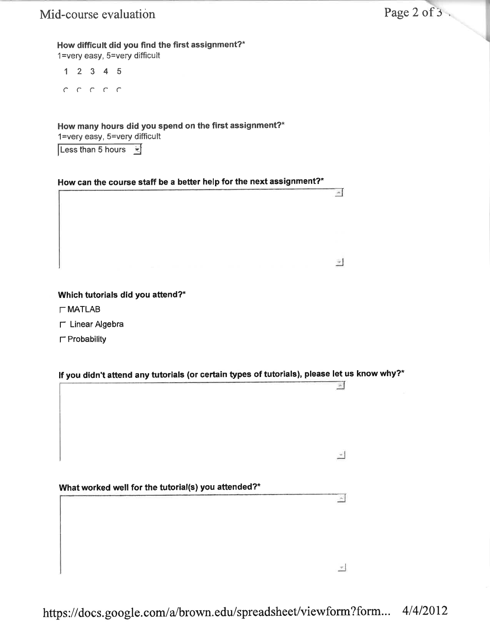$\Delta$ 

 $\overline{\mathcal{F}}$ 

 $\mathcal{A}$ 

 $\mathbf{A}$ 

 $\tau$ 

#### How difficult did you find the first assignment?\*

 $1 =$ very easy,  $5 =$ very difficult

 $12345$ 

 $C C C C C$ 

How many hours did you spend on the first assignment?\* 1=very easy, 5=very difficult

Less than 5 hours  $\overline{\mathbb{R}}$ 

#### How can the course staff be a better help for the next assignment?\*  $H_{\rm eff}$  the course staff better help for the next assignment? The next assignment?

#### Which tutorials did you attend?\*

- $\Gamma$  MATLAB
- $\Gamma$  Linear Algebra
- $\Gamma$  Probability

#### If you didn't attend any tutorials (or certain types of tutorials), please let us know why?\*

lf you didn't attend any tutorials (or certain types of tutorials), please let

What worked well for the tutorial(s) you attended?\*

 $\mathcal{C}=\mathcal{C}$  where the tutorial for the tutorial system of tutorial  $\mathcal{C}$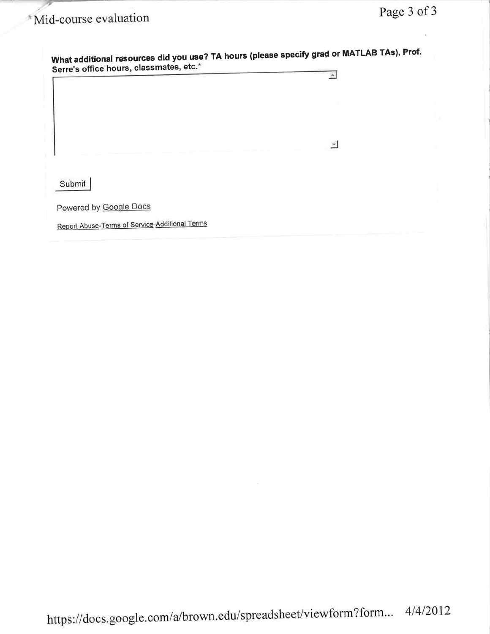## <sup>\*</sup>Mid-course evaluation

| Serre's office hours, classmates, etc.*        |               |  |
|------------------------------------------------|---------------|--|
|                                                |               |  |
|                                                | $\mathcal{L}$ |  |
| Submit                                         |               |  |
| Powered by Google Docs                         |               |  |
| Report Abuse-Terms of Service-Additional Terms |               |  |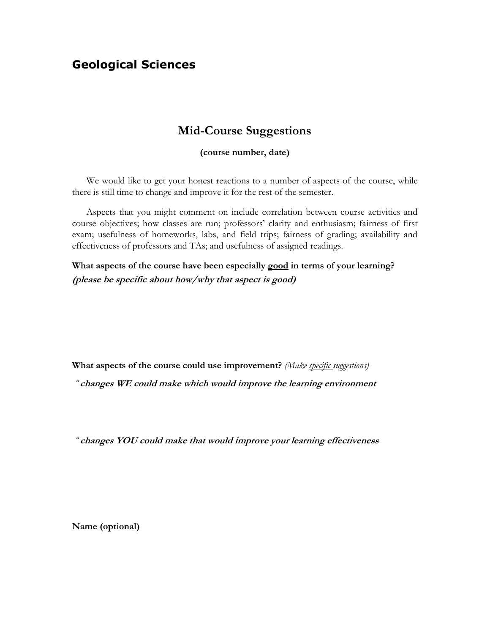#### **Geological Sciences**

#### **Mid-Course Suggestions**

#### **(course number, date)**

We would like to get your honest reactions to a number of aspects of the course, while there is still time to change and improve it for the rest of the semester.

Aspects that you might comment on include correlation between course activities and course objectives; how classes are run; professors' clarity and enthusiasm; fairness of first exam; usefulness of homeworks, labs, and field trips; fairness of grading; availability and effectiveness of professors and TAs; and usefulness of assigned readings.

**What aspects of the course have been especially good in terms of your learning? (please be specific about how/why that aspect is good)**

**What aspects of the course could use improvement?** *(Make specific suggestions)* 

**¨ changes WE could make which would improve the learning environment**

**¨ changes YOU could make that would improve your learning effectiveness**

**Name (optional)**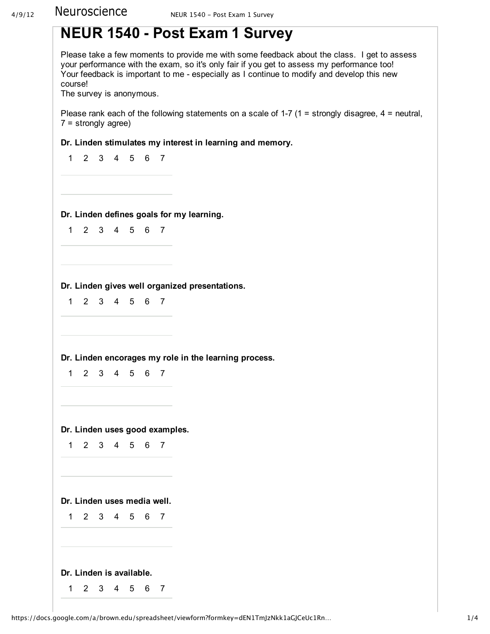

**Dr. Linden gives well organized presentations.**

123456 7

**Dr. Linden encorages my role in the learning process.**

123456 7

**Dr. Linden uses good examples.**

123456 7

**Dr. Linden uses media well.**

123456 7 **Dr. Linden is available.** 123456 7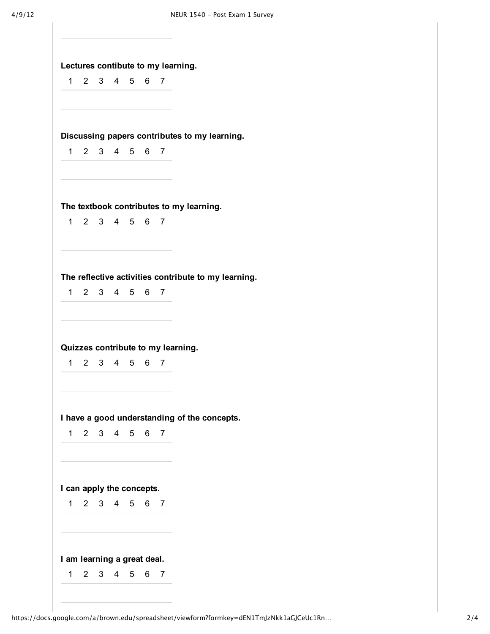|  | Lectures contibute to my learning. |  |  |  |
|--|------------------------------------|--|--|--|
|--|------------------------------------|--|--|--|

1 2 3 4 5 6 7

**Discussing papers contributes to my learning.**

1 2 3 4 5 6 7

**The textbook contributes to my learning.**

1 2 3 4 5 6 7

**The reflective activities contribute to my learning.**

1 2 3 4 5 6 7

**Quizzes contribute to my learning.**

1 2 3 4 5 6 7

**I have a good understanding of the concepts.**

1 2 3 4 5 6 7

**I can apply the concepts.**

| $\overline{1}$ | 2 3 | ; 4567 |  |
|----------------|-----|--------|--|
|                |     |        |  |

#### **I am learning a great deal.**

1 2 3 4 5 6 7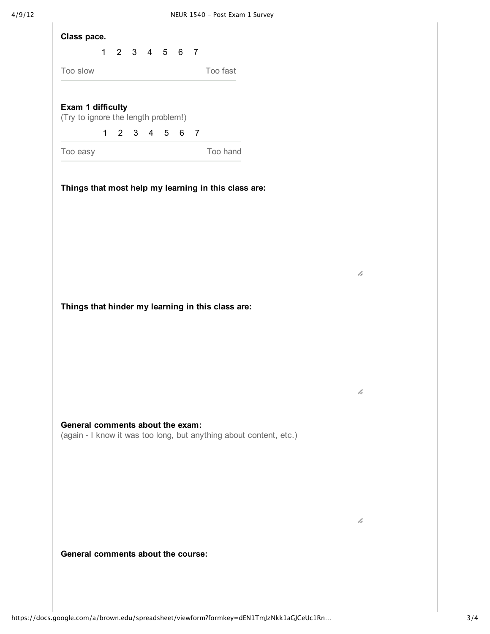|                                     |           | 1 2 3 4 5 6 7 |  |             |                                                                    |  |
|-------------------------------------|-----------|---------------|--|-------------|--------------------------------------------------------------------|--|
| Too slow                            |           |               |  |             | Too fast                                                           |  |
|                                     |           |               |  |             |                                                                    |  |
| Exam 1 difficulty                   |           |               |  |             |                                                                    |  |
| (Try to ignore the length problem!) |           |               |  |             |                                                                    |  |
|                                     | $1 \quad$ |               |  | 2 3 4 5 6 7 |                                                                    |  |
| Too easy                            |           |               |  |             | Too hand                                                           |  |
|                                     |           |               |  |             |                                                                    |  |
|                                     |           |               |  |             |                                                                    |  |
|                                     |           |               |  |             |                                                                    |  |
|                                     |           |               |  |             | Things that hinder my learning in this class are:                  |  |
|                                     |           |               |  |             |                                                                    |  |
|                                     |           |               |  |             |                                                                    |  |
|                                     |           |               |  |             |                                                                    |  |
|                                     |           |               |  |             |                                                                    |  |
|                                     |           |               |  |             |                                                                    |  |
|                                     |           |               |  |             |                                                                    |  |
|                                     |           |               |  |             |                                                                    |  |
|                                     |           |               |  |             | (again - I know it was too long, but anything about content, etc.) |  |
| General comments about the exam:    |           |               |  |             |                                                                    |  |
|                                     |           |               |  |             |                                                                    |  |
|                                     |           |               |  |             |                                                                    |  |
|                                     |           |               |  |             |                                                                    |  |
|                                     |           |               |  |             |                                                                    |  |
|                                     |           |               |  |             |                                                                    |  |

h

h

h